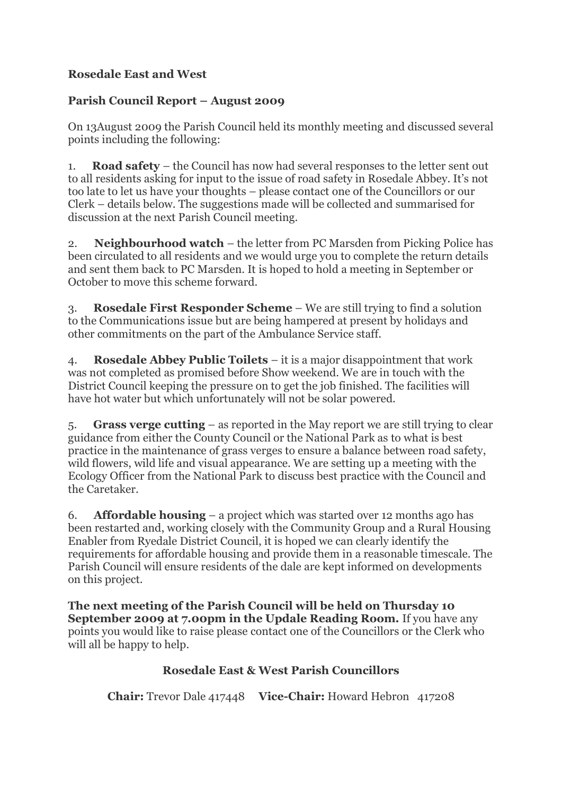## **Rosedale East and West**

## **Parish Council Report – August 2009**

On 13August 2009 the Parish Council held its monthly meeting and discussed several points including the following:

1. **Road safety** – the Council has now had several responses to the letter sent out to all residents asking for input to the issue of road safety in Rosedale Abbey. It's not too late to let us have your thoughts – please contact one of the Councillors or our Clerk – details below. The suggestions made will be collected and summarised for discussion at the next Parish Council meeting.

2. **Neighbourhood watch** – the letter from PC Marsden from Picking Police has been circulated to all residents and we would urge you to complete the return details and sent them back to PC Marsden. It is hoped to hold a meeting in September or October to move this scheme forward.

3. **Rosedale First Responder Scheme** – We are still trying to find a solution to the Communications issue but are being hampered at present by holidays and other commitments on the part of the Ambulance Service staff.

4. **Rosedale Abbey Public Toilets** – it is a major disappointment that work was not completed as promised before Show weekend. We are in touch with the District Council keeping the pressure on to get the job finished. The facilities will have hot water but which unfortunately will not be solar powered.

5. **Grass verge cutting** – as reported in the May report we are still trying to clear guidance from either the County Council or the National Park as to what is best practice in the maintenance of grass verges to ensure a balance between road safety, wild flowers, wild life and visual appearance. We are setting up a meeting with the Ecology Officer from the National Park to discuss best practice with the Council and the Caretaker.

6. **Affordable housing** – a project which was started over 12 months ago has been restarted and, working closely with the Community Group and a Rural Housing Enabler from Ryedale District Council, it is hoped we can clearly identify the requirements for affordable housing and provide them in a reasonable timescale. The Parish Council will ensure residents of the dale are kept informed on developments on this project.

**The next meeting of the Parish Council will be held on Thursday 10 September 2009 at 7.00pm in the Updale Reading Room.** If you have any points you would like to raise please contact one of the Councillors or the Clerk who will all be happy to help.

## **Rosedale East & West Parish Councillors**

**Chair:** Trevor Dale 417448 **Vice-Chair:** Howard Hebron 417208